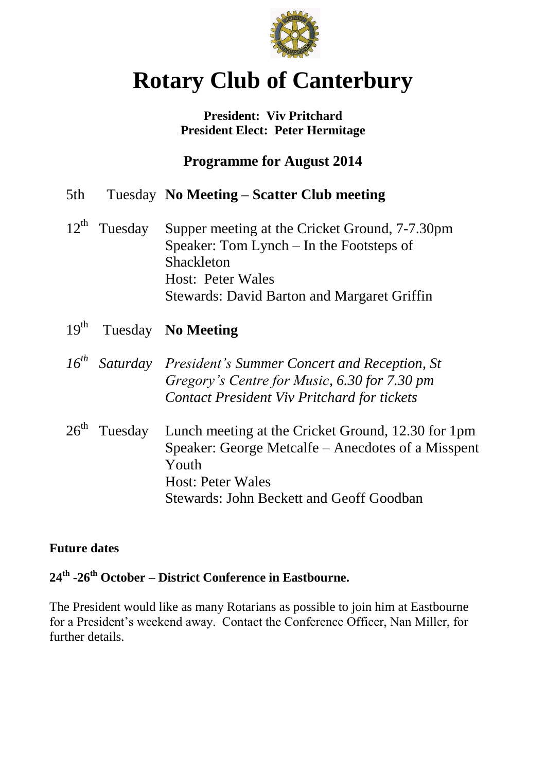

# **Rotary Club of Canterbury**

### **President: Viv Pritchard President Elect: Peter Hermitage**

**Programme for August 2014**

| 5th | Tuesday No Meeting – Scatter Club meeting |  |  |
|-----|-------------------------------------------|--|--|
|     |                                           |  |  |

- 12<sup>th</sup> Tuesday Supper meeting at the Cricket Ground, 7-7.30pm Speaker: Tom Lynch – In the Footsteps of Shackleton Host: Peter Wales Stewards: David Barton and Margaret Griffin
- $19^{th}$ Tuesday **No Meeting**
- *16th Saturday President's Summer Concert and Reception, St Gregory's Centre for Music, 6.30 for 7.30 pm Contact President Viv Pritchard for tickets*
- 26<sup>th</sup> Tuesday Lunch meeting at the Cricket Ground, 12.30 for 1pm Speaker: George Metcalfe – Anecdotes of a Misspent Youth Host: Peter Wales Stewards: John Beckett and Geoff Goodban

### **Future dates**

## **24th -26th October – District Conference in Eastbourne.**

The President would like as many Rotarians as possible to join him at Eastbourne for a President's weekend away. Contact the Conference Officer, Nan Miller, for further details.